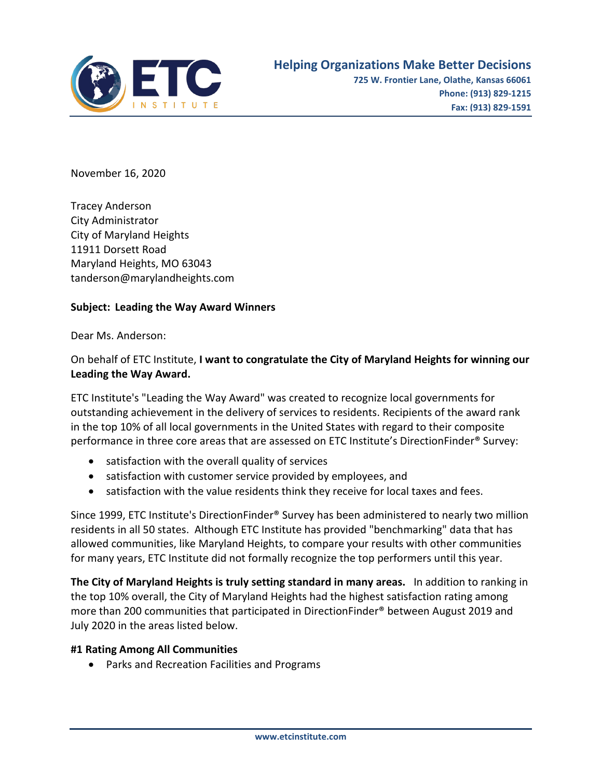

November 16, 2020

Tracey Anderson City Administrator City of Maryland Heights 11911 Dorsett Road Maryland Heights, MO 63043 tanderson@marylandheights.com

## **Subject: Leading the Way Award Winners**

Dear Ms. Anderson:

## On behalf of ETC Institute, **I want to congratulate the City of Maryland Heights for winning our Leading the Way Award.**

ETC Institute's "Leading the Way Award" was created to recognize local governments for outstanding achievement in the delivery of services to residents. Recipients of the award rank in the top 10% of all local governments in the United States with regard to their composite performance in three core areas that are assessed on ETC Institute's DirectionFinder® Survey:

- satisfaction with the overall quality of services
- satisfaction with customer service provided by employees, and
- satisfaction with the value residents think they receive for local taxes and fees.

Since 1999, ETC Institute's DirectionFinder® Survey has been administered to nearly two million residents in all 50 states. Although ETC Institute has provided "benchmarking" data that has allowed communities, like Maryland Heights, to compare your results with other communities for many years, ETC Institute did not formally recognize the top performers until this year.

**The City of Maryland Heights is truly setting standard in many areas.** In addition to ranking in the top 10% overall, the City of Maryland Heights had the highest satisfaction rating among more than 200 communities that participated in DirectionFinder® between August 2019 and July 2020 in the areas listed below.

## **#1 Rating Among All Communities**

• Parks and Recreation Facilities and Programs